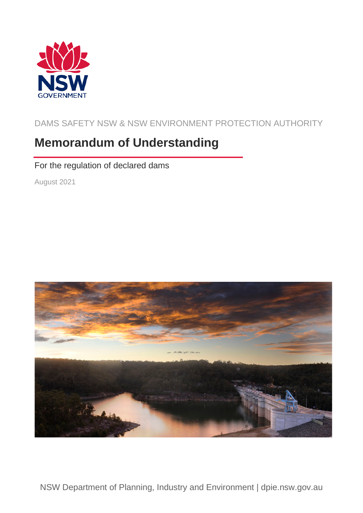

DAMS SAFETY NSW & NSW ENVIRONMENT PROTECTION AUTHORITY

# **Memorandum of Understanding**

For the regulation of declared dams

August 2021

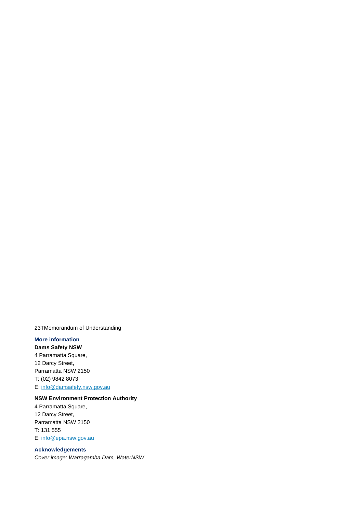23TMemorandum of Understanding

#### **More information**

**Dams Safety NSW** 4 Parramatta Square, 12 Darcy Street, Parramatta NSW 2150 T: (02) 9842 8073 E[: info@damsafety.nsw.gov.au](mailto:info@damsafety.nsw.gov.au)

#### **NSW Environment Protection Authority**

4 Parramatta Square, 12 Darcy Street, Parramatta NSW 2150 T: 131 555 E[: info@epa.nsw.gov.au](mailto:info@epa.nsw.gov.au)

#### **Acknowledgements**

*Cover image: Warragamba Dam, WaterNSW*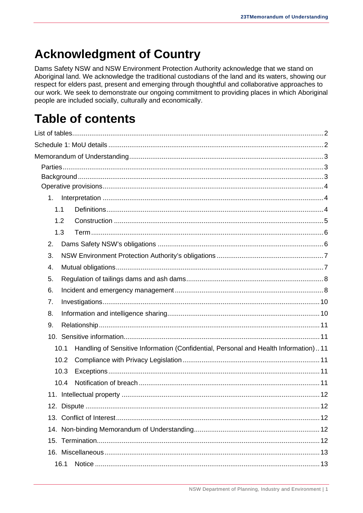# **Acknowledgment of Country**

Dams Safety NSW and NSW Environment Protection Authority acknowledge that we stand on Aboriginal land. We acknowledge the traditional custodians of the land and its waters, showing our respect for elders past, present and emerging through thoughtful and collaborative approaches to our work. We seek to demonstrate our ongoing commitment to providing places in which Aboriginal people are included socially, culturally and economically.

# **Table of contents**

| 1.                                                                                          |  |
|---------------------------------------------------------------------------------------------|--|
| 1.1                                                                                         |  |
| 1.2                                                                                         |  |
| 1.3                                                                                         |  |
| 2.                                                                                          |  |
| 3.                                                                                          |  |
| 4.                                                                                          |  |
| 5.                                                                                          |  |
| 6.                                                                                          |  |
| 7.                                                                                          |  |
| 8.                                                                                          |  |
| 9.                                                                                          |  |
|                                                                                             |  |
| Handling of Sensitive Information (Confidential, Personal and Health Information)11<br>10.1 |  |
| 10.2                                                                                        |  |
| 10.3                                                                                        |  |
| 10.4                                                                                        |  |
|                                                                                             |  |
|                                                                                             |  |
|                                                                                             |  |
|                                                                                             |  |
|                                                                                             |  |
|                                                                                             |  |
| 16.1                                                                                        |  |
|                                                                                             |  |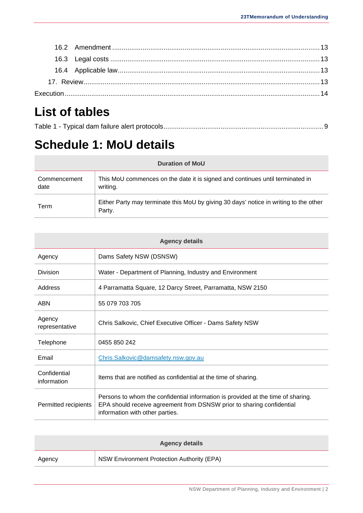# <span id="page-3-0"></span>**List of tables**

|--|--|--|

# <span id="page-3-1"></span>**Schedule 1: MoU details**

| <b>Duration of MoU</b> |                                                                                                 |  |  |
|------------------------|-------------------------------------------------------------------------------------------------|--|--|
| Commencement<br>date   | This MoU commences on the date it is signed and continues until terminated in<br>writing.       |  |  |
| Term                   | Either Party may terminate this MoU by giving 30 days' notice in writing to the other<br>Party. |  |  |

| <b>Agency details</b>       |                                                                                                                                                                                              |  |  |
|-----------------------------|----------------------------------------------------------------------------------------------------------------------------------------------------------------------------------------------|--|--|
| Agency                      | Dams Safety NSW (DSNSW)                                                                                                                                                                      |  |  |
| Division                    | Water - Department of Planning, Industry and Environment                                                                                                                                     |  |  |
| Address                     | 4 Parramatta Square, 12 Darcy Street, Parramatta, NSW 2150                                                                                                                                   |  |  |
| ABN                         | 55 079 703 705                                                                                                                                                                               |  |  |
| Agency<br>representative    | Chris Salkovic, Chief Executive Officer - Dams Safety NSW                                                                                                                                    |  |  |
| Telephone                   | 0455 850 242                                                                                                                                                                                 |  |  |
| Email                       | Chris.Salkovic@damsafety.nsw.gov.au                                                                                                                                                          |  |  |
| Confidential<br>information | Items that are notified as confidential at the time of sharing.                                                                                                                              |  |  |
| Permitted recipients        | Persons to whom the confidential information is provided at the time of sharing.<br>EPA should receive agreement from DSNSW prior to sharing confidential<br>information with other parties. |  |  |

| <b>Agency details</b> |                                            |  |  |
|-----------------------|--------------------------------------------|--|--|
| Agency                | NSW Environment Protection Authority (EPA) |  |  |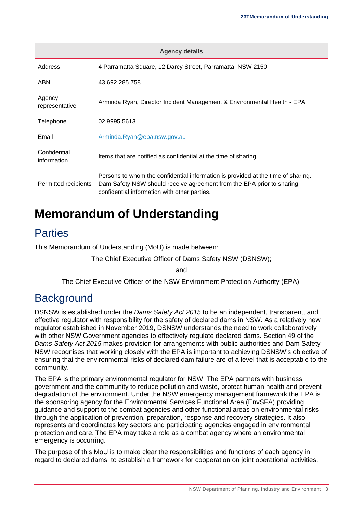| <b>Agency details</b>       |                                                                                                                                                                                                           |  |  |
|-----------------------------|-----------------------------------------------------------------------------------------------------------------------------------------------------------------------------------------------------------|--|--|
| Address                     | 4 Parramatta Square, 12 Darcy Street, Parramatta, NSW 2150                                                                                                                                                |  |  |
| ABN                         | 43 692 285 758                                                                                                                                                                                            |  |  |
| Agency<br>representative    | Arminda Ryan, Director Incident Management & Environmental Health - EPA                                                                                                                                   |  |  |
| Telephone                   | 02 9995 5613                                                                                                                                                                                              |  |  |
| Email                       | Arminda.Ryan@epa.nsw.gov.au                                                                                                                                                                               |  |  |
| Confidential<br>information | Items that are notified as confidential at the time of sharing.                                                                                                                                           |  |  |
| Permitted recipients        | Persons to whom the confidential information is provided at the time of sharing.<br>Dam Safety NSW should receive agreement from the EPA prior to sharing<br>confidential information with other parties. |  |  |

# <span id="page-4-0"></span>**Memorandum of Understanding**

# <span id="page-4-1"></span>**Parties**

This Memorandum of Understanding (MoU) is made between:

The Chief Executive Officer of Dams Safety NSW (DSNSW);

and

The Chief Executive Officer of the NSW Environment Protection Authority (EPA).

# <span id="page-4-2"></span>**Background**

DSNSW is established under the *Dams Safety Act 2015* to be an independent, transparent, and effective regulator with responsibility for the safety of declared dams in NSW. As a relatively new regulator established in November 2019, DSNSW understands the need to work collaboratively with other NSW Government agencies to effectively regulate declared dams. Section 49 of the *Dams Safety Act 2015* makes provision for arrangements with public authorities and Dam Safety NSW recognises that working closely with the EPA is important to achieving DSNSW's objective of ensuring that the environmental risks of declared dam failure are of a level that is acceptable to the community.

The EPA is the primary environmental regulator for NSW. The EPA partners with business, government and the community to reduce pollution and waste, protect human health and prevent degradation of the environment. Under the NSW emergency management framework the EPA is the sponsoring agency for the Environmental Services Functional Area (EnvSFA) providing guidance and support to the combat agencies and other functional areas on environmental risks through the application of prevention, preparation, response and recovery strategies. It also represents and coordinates key sectors and participating agencies engaged in environmental protection and care. The EPA may take a role as a combat agency where an environmental emergency is occurring.

The purpose of this MoU is to make clear the responsibilities and functions of each agency in regard to declared dams, to establish a framework for cooperation on joint operational activities,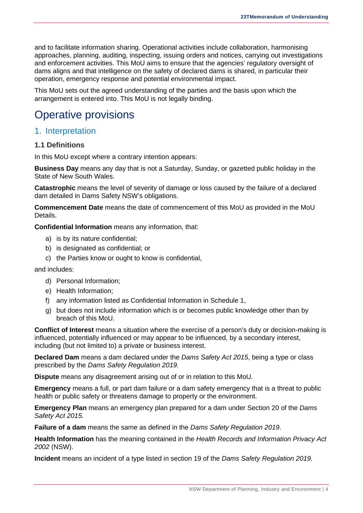and to facilitate information sharing. Operational activities include collaboration, harmonising approaches, planning, auditing, inspecting, issuing orders and notices, carrying out investigations and enforcement activities. This MoU aims to ensure that the agencies' regulatory oversight of dams aligns and that intelligence on the safety of declared dams is shared, in particular their operation, emergency response and potential environmental impact.

This MoU sets out the agreed understanding of the parties and the basis upon which the arrangement is entered into. This MoU is not legally binding.

# <span id="page-5-0"></span>Operative provisions

### <span id="page-5-1"></span>1. Interpretation

#### <span id="page-5-2"></span>**1.1 Definitions**

In this MoU except where a contrary intention appears:

**Business Day** means any day that is not a Saturday, Sunday, or gazetted public holiday in the State of New South Wales.

**Catastrophic** means the level of severity of damage or loss caused by the failure of a declared dam detailed in Dams Safety NSW's obligations.

**Commencement Date** means the date of commencement of this MoU as provided in the MoU Details.

**Confidential Information** means any information, that:

- a) is by its nature confidential;
- b) is designated as confidential; or
- c) the Parties know or ought to know is confidential,

and includes:

- d) Personal Information;
- e) Health Information;
- f) any information listed as Confidential Information in Schedule 1,
- g) but does not include information which is or becomes public knowledge other than by breach of this MoU.

**Conflict of Interest** means a situation where the exercise of a person's duty or decision-making is influenced, potentially influenced or may appear to be influenced, by a secondary interest, including (but not limited to) a private or business interest.

**Declared Dam** means a dam declared under the *Dams Safety Act 2015*, being a type or class prescribed by the *Dams Safety Regulation 2019.*

**Dispute** means any disagreement arising out of or in relation to this MoU.

**Emergency** means a full, or part dam failure or a dam safety emergency that is a threat to public health or public safety or threatens damage to property or the environment.

**Emergency Plan** means an emergency plan prepared for a dam under Section 20 of the *Dams Safety Act 2015.*

**Failure of a dam** means the same as defined in the *Dams Safety Regulation 2019*.

**Health Information** has the meaning contained in the *Health Records and Information Privacy Act 2002* (NSW).

**Incident** means an incident of a type listed in section 19 of the *Dams Safety Regulation 2019*.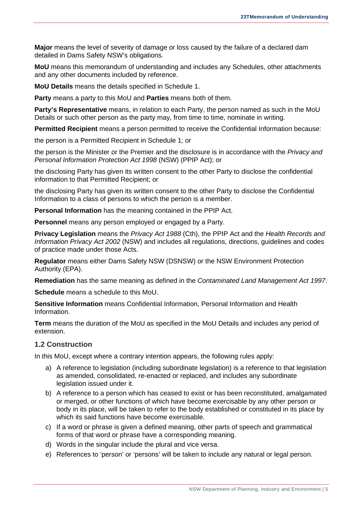**Major** means the level of severity of damage or loss caused by the failure of a declared dam detailed in Dams Safety NSW's obligations.

**MoU** means this memorandum of understanding and includes any Schedules, other attachments and any other documents included by reference.

**MoU Details** means the details specified in Schedule 1.

**Party** means a party to this MoU and **Parties** means both of them.

**Party's Representative** means, in relation to each Party, the person named as such in the MoU Details or such other person as the party may, from time to time, nominate in writing.

**Permitted Recipient** means a person permitted to receive the Confidential Information because:

the person is a Permitted Recipient in Schedule 1; or

the person is the Minister or the Premier and the disclosure is in accordance with the *Privacy and Personal Information Protection Act 1998* (NSW) (PPIP Act); or

the disclosing Party has given its written consent to the other Party to disclose the confidential information to that Permitted Recipient; or

the disclosing Party has given its written consent to the other Party to disclose the Confidential Information to a class of persons to which the person is a member.

**Personal Information** has the meaning contained in the PPIP Act.

**Personnel** means any person employed or engaged by a Party.

**Privacy Legislation** means the *Privacy Act 1988* (Cth), the PPIP Act and the *Health Records and Information Privacy Act 2002* (NSW) and includes all regulations, directions, guidelines and codes of practice made under those Acts.

**Regulator** means either Dams Safety NSW (DSNSW) or the NSW Environment Protection Authority (EPA).

**Remediation** has the same meaning as defined in the *Contaminated Land Management Act 1997*.

**Schedule** means a schedule to this MoU.

**Sensitive Information** means Confidential Information, Personal Information and Health Information.

**Term** means the duration of the MoU as specified in the MoU Details and includes any period of extension.

#### <span id="page-6-0"></span>**1.2 Construction**

In this MoU, except where a contrary intention appears, the following rules apply:

- a) A reference to legislation (including subordinate legislation) is a reference to that legislation as amended, consolidated, re-enacted or replaced, and includes any subordinate legislation issued under it.
- b) A reference to a person which has ceased to exist or has been reconstituted, amalgamated or merged, or other functions of which have become exercisable by any other person or body in its place, will be taken to refer to the body established or constituted in its place by which its said functions have become exercisable.
- c) If a word or phrase is given a defined meaning, other parts of speech and grammatical forms of that word or phrase have a corresponding meaning.
- d) Words in the singular include the plural and vice versa.
- e) References to 'person' or 'persons' will be taken to include any natural or legal person.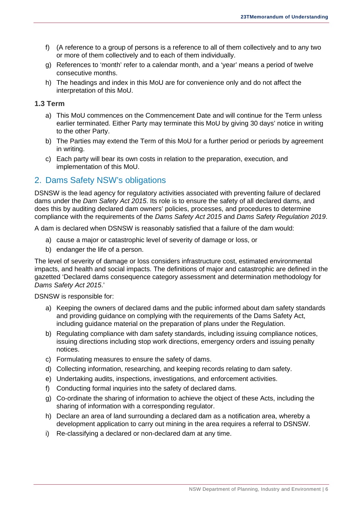- f) (A reference to a group of persons is a reference to all of them collectively and to any two or more of them collectively and to each of them individually.
- g) References to 'month' refer to a calendar month, and a 'year' means a period of twelve consecutive months.
- h) The headings and index in this MoU are for convenience only and do not affect the interpretation of this MoU.

#### <span id="page-7-0"></span>**1.3 Term**

- a) This MoU commences on the Commencement Date and will continue for the Term unless earlier terminated. Either Party may terminate this MoU by giving 30 days' notice in writing to the other Party.
- b) The Parties may extend the Term of this MoU for a further period or periods by agreement in writing.
- c) Each party will bear its own costs in relation to the preparation, execution, and implementation of this MoU.

# <span id="page-7-1"></span>2. Dams Safety NSW's obligations

DSNSW is the lead agency for regulatory activities associated with preventing failure of declared dams under the *Dam Safety Act 2015*. Its role is to ensure the safety of all declared dams, and does this by auditing declared dam owners' policies, processes, and procedures to determine compliance with the requirements of the *Dams Safety Act 2015* and *Dams Safety Regulation 2019*.

A dam is declared when DSNSW is reasonably satisfied that a failure of the dam would:

- a) cause a major or catastrophic level of severity of damage or loss, or
- b) endanger the life of a person.

The level of severity of damage or loss considers infrastructure cost, estimated environmental impacts, and health and social impacts. The definitions of major and catastrophic are defined in the gazetted 'Declared dams consequence category assessment and determination methodology for *Dams Safety Act 2015*.'

DSNSW is responsible for:

- a) Keeping the owners of declared dams and the public informed about dam safety standards and providing guidance on complying with the requirements of the Dams Safety Act, including guidance material on the preparation of plans under the Regulation.
- b) Regulating compliance with dam safety standards, including issuing compliance notices, issuing directions including stop work directions, emergency orders and issuing penalty notices.
- c) Formulating measures to ensure the safety of dams.
- d) Collecting information, researching, and keeping records relating to dam safety.
- e) Undertaking audits, inspections, investigations, and enforcement activities.
- f) Conducting formal inquiries into the safety of declared dams.
- g) Co-ordinate the sharing of information to achieve the object of these Acts, including the sharing of information with a corresponding regulator.
- h) Declare an area of land surrounding a declared dam as a notification area, whereby a development application to carry out mining in the area requires a referral to DSNSW.
- i) Re-classifying a declared or non-declared dam at any time.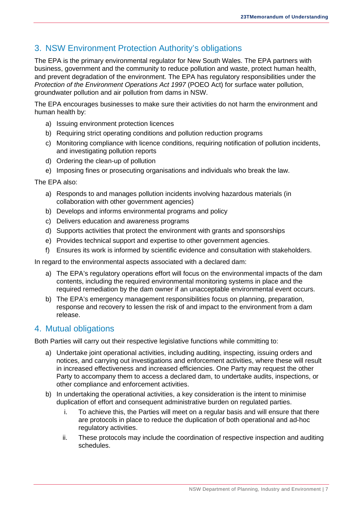# <span id="page-8-0"></span>3. NSW Environment Protection Authority's obligations

The EPA is the primary environmental regulator for New South Wales. The EPA partners with business, government and the community to reduce pollution and waste, protect human health, and prevent degradation of the environment. The EPA has regulatory responsibilities under the *Protection of the Environment Operations Act 1997 (POEO Act)* for surface water pollution, groundwater pollution and air pollution from dams in NSW.

The EPA encourages businesses to make sure their activities do not harm the environment and human health by:

- a) Issuing environment protection licences
- b) Requiring strict operating conditions and pollution reduction programs
- c) Monitoring compliance with licence conditions, requiring notification of pollution incidents, and investigating pollution reports
- d) Ordering the clean-up of pollution
- e) Imposing fines or prosecuting organisations and individuals who break the law.

The EPA also:

- a) Responds to and manages pollution incidents involving hazardous materials (in collaboration with other government agencies)
- b) Develops and informs environmental programs and policy
- c) Delivers education and awareness programs
- d) Supports activities that protect the environment with grants and sponsorships
- e) Provides technical support and expertise to other government agencies.
- f) Ensures its work is informed by scientific evidence and consultation with stakeholders.

In regard to the environmental aspects associated with a declared dam:

- a) The EPA's regulatory operations effort will focus on the environmental impacts of the dam contents, including the required environmental monitoring systems in place and the required remediation by the dam owner if an unacceptable environmental event occurs.
- b) The EPA's emergency management responsibilities focus on planning, preparation, response and recovery to lessen the risk of and impact to the environment from a dam release.

### <span id="page-8-1"></span>4. Mutual obligations

Both Parties will carry out their respective legislative functions while committing to:

- a) Undertake joint operational activities, including auditing, inspecting, issuing orders and notices, and carrying out investigations and enforcement activities, where these will result in increased effectiveness and increased efficiencies. One Party may request the other Party to accompany them to access a declared dam, to undertake audits, inspections, or other compliance and enforcement activities.
- b) In undertaking the operational activities, a key consideration is the intent to minimise duplication of effort and consequent administrative burden on regulated parties.
	- i. To achieve this, the Parties will meet on a regular basis and will ensure that there are protocols in place to reduce the duplication of both operational and ad-hoc regulatory activities.
	- ii. These protocols may include the coordination of respective inspection and auditing schedules.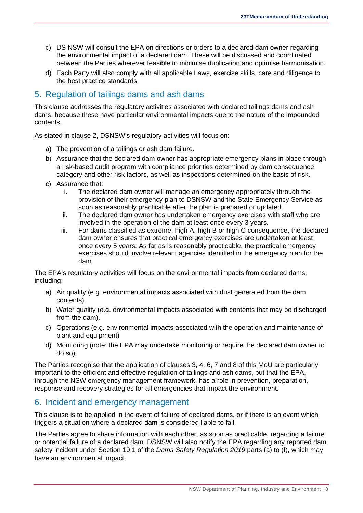- c) DS NSW will consult the EPA on directions or orders to a declared dam owner regarding the environmental impact of a declared dam. These will be discussed and coordinated between the Parties wherever feasible to minimise duplication and optimise harmonisation.
- d) Each Party will also comply with all applicable Laws, exercise skills, care and diligence to the best practice standards.

# <span id="page-9-0"></span>5. Regulation of tailings dams and ash dams

This clause addresses the regulatory activities associated with declared tailings dams and ash dams, because these have particular environmental impacts due to the nature of the impounded contents.

As stated in clause 2, DSNSW's regulatory activities will focus on:

- a) The prevention of a tailings or ash dam failure.
- b) Assurance that the declared dam owner has appropriate emergency plans in place through a risk-based audit program with compliance priorities determined by dam consequence category and other risk factors, as well as inspections determined on the basis of risk.
- c) Assurance that:
	- i. The declared dam owner will manage an emergency appropriately through the provision of their emergency plan to DSNSW and the State Emergency Service as soon as reasonably practicable after the plan is prepared or updated.
	- ii. The declared dam owner has undertaken emergency exercises with staff who are involved in the operation of the dam at least once every 3 years.
	- iii. For dams classified as extreme, high A, high B or high C consequence, the declared dam owner ensures that practical emergency exercises are undertaken at least once every 5 years. As far as is reasonably practicable, the practical emergency exercises should involve relevant agencies identified in the emergency plan for the dam.

The EPA's regulatory activities will focus on the environmental impacts from declared dams, including:

- a) Air quality (e.g. environmental impacts associated with dust generated from the dam contents).
- b) Water quality (e.g. environmental impacts associated with contents that may be discharged from the dam).
- c) Operations (e.g. environmental impacts associated with the operation and maintenance of plant and equipment)
- d) Monitoring (note: the EPA may undertake monitoring or require the declared dam owner to do so).

The Parties recognise that the application of clauses 3, 4, 6, 7 and 8 of this MoU are particularly important to the efficient and effective regulation of tailings and ash dams, but that the EPA, through the NSW emergency management framework, has a role in prevention, preparation, response and recovery strategies for all emergencies that impact the environment.

### <span id="page-9-1"></span>6. Incident and emergency management

This clause is to be applied in the event of failure of declared dams, or if there is an event which triggers a situation where a declared dam is considered liable to fail.

The Parties agree to share information with each other, as soon as practicable, regarding a failure or potential failure of a declared dam. DSNSW will also notify the EPA regarding any reported dam safety incident under Section 19.1 of the *Dams Safety Regulation 2019* parts (a) to (f), which may have an environmental impact.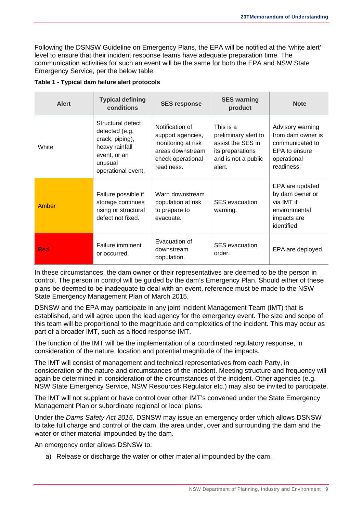Following the DSNSW Guideline on Emergency Plans, the EPA will be notified at the 'white alert' level to ensure that their incident response teams have adequate preparation time. The communication activities for such an event will be the same for both the EPA and NSW State Emergency Service, per the below table:

| <b>Alert</b> | <b>Typical defining</b><br>conditions                                                                                     | <b>SES response</b>                                                                                               | <b>SES warning</b><br>product                                                                               | <b>Note</b>                                                                                            |
|--------------|---------------------------------------------------------------------------------------------------------------------------|-------------------------------------------------------------------------------------------------------------------|-------------------------------------------------------------------------------------------------------------|--------------------------------------------------------------------------------------------------------|
| White        | Structural defect<br>detected (e.g.<br>crack, piping),<br>heavy rainfall<br>event, or an<br>unusual<br>operational event. | Notification of<br>support agencies,<br>monitoring at risk<br>areas downstream<br>check operational<br>readiness. | This is a<br>preliminary alert to<br>assist the SES in<br>its preparations<br>and is not a public<br>alert. | Advisory warning<br>from dam owner is<br>communicated to<br>EPA to ensure<br>operational<br>readiness. |
| Amber        | Failure possible if<br>storage continues<br>rising or structural<br>defect not fixed.                                     | Warn downstream<br>population at risk<br>to prepare to<br>evacuate.                                               | <b>SES</b> evacuation<br>warning.                                                                           | EPA are updated<br>by dam owner or<br>via IMT if<br>environmental<br>impacts are<br>identified.        |
| Red          | Failure imminent<br>or occurred.                                                                                          | Evacuation of<br>downstream<br>population.                                                                        | <b>SES</b> evacuation<br>order.                                                                             | EPA are deployed.                                                                                      |

#### <span id="page-10-0"></span>**Table 1 - Typical dam failure alert protocols**

In these circumstances, the dam owner or their representatives are deemed to be the person in control. The person in control will be guided by the dam's Emergency Plan. Should either of these plans be deemed to be inadequate to deal with an event, reference must be made to the NSW State Emergency Management Plan of March 2015.

DSNSW and the EPA may participate in any joint Incident Management Team (IMT) that is established, and will agree upon the lead agency for the emergency event. The size and scope of this team will be proportional to the magnitude and complexities of the incident. This may occur as part of a broader IMT, such as a flood response IMT.

The function of the IMT will be the implementation of a coordinated regulatory response, in consideration of the nature, location and potential magnitude of the impacts.

The IMT will consist of management and technical representatives from each Party, in consideration of the nature and circumstances of the incident. Meeting structure and frequency will again be determined in consideration of the circumstances of the incident. Other agencies (e.g. NSW State Emergency Service, NSW Resources Regulator etc.) may also be invited to participate.

The IMT will not supplant or have control over other IMT's convened under the State Emergency Management Plan or subordinate regional or local plans.

Under the *Dams Safety Act 2015*, DSNSW may issue an emergency order which allows DSNSW to take full charge and control of the dam, the area under, over and surrounding the dam and the water or other material impounded by the dam.

An emergency order allows DSNSW to:

a) Release or discharge the water or other material impounded by the dam.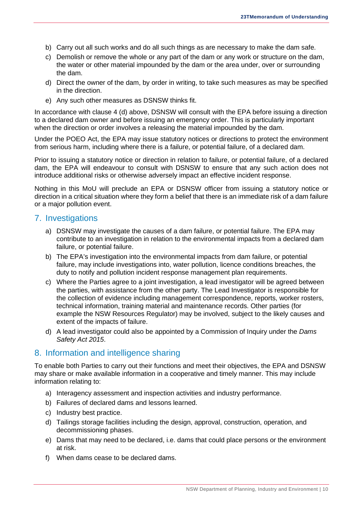- b) Carry out all such works and do all such things as are necessary to make the dam safe.
- c) Demolish or remove the whole or any part of the dam or any work or structure on the dam, the water or other material impounded by the dam or the area under, over or surrounding the dam.
- d) Direct the owner of the dam, by order in writing, to take such measures as may be specified in the direction.
- e) Any such other measures as DSNSW thinks fit.

In accordance with clause 4 (d) above, DSNSW will consult with the EPA before issuing a direction to a declared dam owner and before issuing an emergency order. This is particularly important when the direction or order involves a releasing the material impounded by the dam.

Under the POEO Act, the EPA may issue statutory notices or directions to protect the environment from serious harm, including where there is a failure, or potential failure, of a declared dam.

Prior to issuing a statutory notice or direction in relation to failure, or potential failure, of a declared dam, the EPA will endeavour to consult with DSNSW to ensure that any such action does not introduce additional risks or otherwise adversely impact an effective incident response.

Nothing in this MoU will preclude an EPA or DSNSW officer from issuing a statutory notice or direction in a critical situation where they form a belief that there is an immediate risk of a dam failure or a major pollution event.

#### <span id="page-11-0"></span>7. Investigations

- a) DSNSW may investigate the causes of a dam failure, or potential failure. The EPA may contribute to an investigation in relation to the environmental impacts from a declared dam failure, or potential failure.
- b) The EPA's investigation into the environmental impacts from dam failure, or potential failure, may include investigations into, water pollution, licence conditions breaches, the duty to notify and pollution incident response management plan requirements.
- c) Where the Parties agree to a joint investigation, a lead investigator will be agreed between the parties, with assistance from the other party. The Lead Investigator is responsible for the collection of evidence including management correspondence, reports, worker rosters, technical information, training material and maintenance records. Other parties (for example the NSW Resources Regulator) may be involved, subject to the likely causes and extent of the impacts of failure.
- d) A lead investigator could also be appointed by a Commission of Inquiry under the *Dams Safety Act 2015*.

### <span id="page-11-1"></span>8. Information and intelligence sharing

To enable both Parties to carry out their functions and meet their objectives, the EPA and DSNSW may share or make available information in a cooperative and timely manner. This may include information relating to:

- a) Interagency assessment and inspection activities and industry performance.
- b) Failures of declared dams and lessons learned.
- c) Industry best practice.
- d) Tailings storage facilities including the design, approval, construction, operation, and decommissioning phases.
- e) Dams that may need to be declared, i.e. dams that could place persons or the environment at risk.
- f) When dams cease to be declared dams.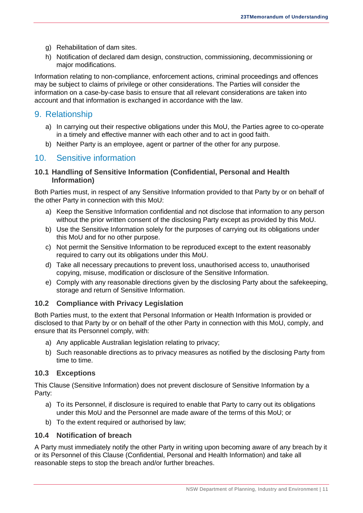- g) Rehabilitation of dam sites.
- h) Notification of declared dam design, construction, commissioning, decommissioning or major modifications.

Information relating to non-compliance, enforcement actions, criminal proceedings and offences may be subject to claims of privilege or other considerations. The Parties will consider the information on a case-by-case basis to ensure that all relevant considerations are taken into account and that information is exchanged in accordance with the law.

# <span id="page-12-0"></span>9. Relationship

- a) In carrying out their respective obligations under this MoU, the Parties agree to co-operate in a timely and effective manner with each other and to act in good faith.
- b) Neither Party is an employee, agent or partner of the other for any purpose.

# <span id="page-12-1"></span>10. Sensitive information

#### <span id="page-12-2"></span>**10.1 Handling of Sensitive Information (Confidential, Personal and Health Information)**

Both Parties must, in respect of any Sensitive Information provided to that Party by or on behalf of the other Party in connection with this MoU:

- a) Keep the Sensitive Information confidential and not disclose that information to any person without the prior written consent of the disclosing Party except as provided by this MoU.
- b) Use the Sensitive Information solely for the purposes of carrying out its obligations under this MoU and for no other purpose.
- c) Not permit the Sensitive Information to be reproduced except to the extent reasonably required to carry out its obligations under this MoU.
- d) Take all necessary precautions to prevent loss, unauthorised access to, unauthorised copying, misuse, modification or disclosure of the Sensitive Information.
- e) Comply with any reasonable directions given by the disclosing Party about the safekeeping, storage and return of Sensitive Information.

#### <span id="page-12-3"></span>**10.2 Compliance with Privacy Legislation**

Both Parties must, to the extent that Personal Information or Health Information is provided or disclosed to that Party by or on behalf of the other Party in connection with this MoU, comply, and ensure that its Personnel comply, with:

- a) Any applicable Australian legislation relating to privacy;
- b) Such reasonable directions as to privacy measures as notified by the disclosing Party from time to time.

#### <span id="page-12-4"></span>**10.3 Exceptions**

This Clause (Sensitive Information) does not prevent disclosure of Sensitive Information by a Party:

- a) To its Personnel, if disclosure is required to enable that Party to carry out its obligations under this MoU and the Personnel are made aware of the terms of this MoU; or
- b) To the extent required or authorised by law;

#### <span id="page-12-5"></span>**10.4 Notification of breach**

A Party must immediately notify the other Party in writing upon becoming aware of any breach by it or its Personnel of this Clause (Confidential, Personal and Health Information) and take all reasonable steps to stop the breach and/or further breaches.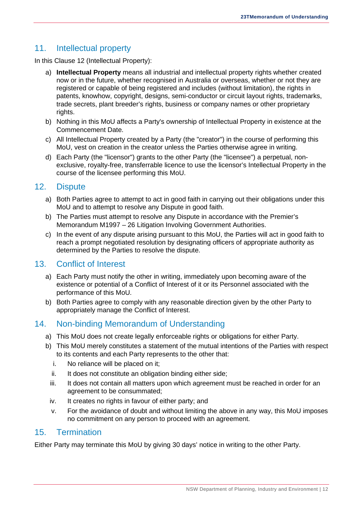# <span id="page-13-0"></span>11. Intellectual property

In this Clause 12 (Intellectual Property):

- a) **Intellectual Property** means all industrial and intellectual property rights whether created now or in the future, whether recognised in Australia or overseas, whether or not they are registered or capable of being registered and includes (without limitation), the rights in patents, knowhow, copyright, designs, semi-conductor or circuit layout rights, trademarks, trade secrets, plant breeder's rights, business or company names or other proprietary rights.
- b) Nothing in this MoU affects a Party's ownership of Intellectual Property in existence at the Commencement Date.
- c) All Intellectual Property created by a Party (the "creator") in the course of performing this MoU, vest on creation in the creator unless the Parties otherwise agree in writing.
- d) Each Party (the "licensor") grants to the other Party (the "licensee") a perpetual, nonexclusive, royalty-free, transferrable licence to use the licensor's Intellectual Property in the course of the licensee performing this MoU.

### <span id="page-13-1"></span>12. Dispute

- a) Both Parties agree to attempt to act in good faith in carrying out their obligations under this MoU and to attempt to resolve any Dispute in good faith.
- b) The Parties must attempt to resolve any Dispute in accordance with the Premier's Memorandum M1997 – 26 Litigation Involving Government Authorities.
- c) In the event of any dispute arising pursuant to this MoU, the Parties will act in good faith to reach a prompt negotiated resolution by designating officers of appropriate authority as determined by the Parties to resolve the dispute.

# <span id="page-13-2"></span>13. Conflict of Interest

- a) Each Party must notify the other in writing, immediately upon becoming aware of the existence or potential of a Conflict of Interest of it or its Personnel associated with the performance of this MoU.
- b) Both Parties agree to comply with any reasonable direction given by the other Party to appropriately manage the Conflict of Interest.

# <span id="page-13-3"></span>14. Non-binding Memorandum of Understanding

- a) This MoU does not create legally enforceable rights or obligations for either Party.
- b) This MoU merely constitutes a statement of the mutual intentions of the Parties with respect to its contents and each Party represents to the other that:
	- i. No reliance will be placed on it;
	- ii. It does not constitute an obligation binding either side;
	- iii. It does not contain all matters upon which agreement must be reached in order for an agreement to be consummated;
	- iv. It creates no rights in favour of either party; and
	- v. For the avoidance of doubt and without limiting the above in any way, this MoU imposes no commitment on any person to proceed with an agreement.

### <span id="page-13-4"></span>15. Termination

Either Party may terminate this MoU by giving 30 days' notice in writing to the other Party.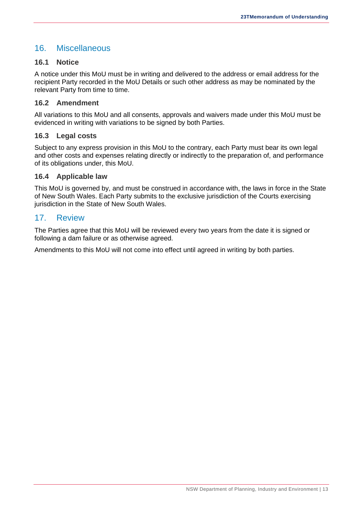# <span id="page-14-0"></span>16. Miscellaneous

#### <span id="page-14-1"></span>**16.1 Notice**

A notice under this MoU must be in writing and delivered to the address or email address for the recipient Party recorded in the MoU Details or such other address as may be nominated by the relevant Party from time to time.

#### <span id="page-14-2"></span>**16.2 Amendment**

All variations to this MoU and all consents, approvals and waivers made under this MoU must be evidenced in writing with variations to be signed by both Parties.

#### <span id="page-14-3"></span>**16.3 Legal costs**

Subject to any express provision in this MoU to the contrary, each Party must bear its own legal and other costs and expenses relating directly or indirectly to the preparation of, and performance of its obligations under, this MoU.

#### <span id="page-14-4"></span>**16.4 Applicable law**

This MoU is governed by, and must be construed in accordance with, the laws in force in the State of New South Wales. Each Party submits to the exclusive jurisdiction of the Courts exercising jurisdiction in the State of New South Wales.

#### <span id="page-14-5"></span>17. Review

The Parties agree that this MoU will be reviewed every two years from the date it is signed or following a dam failure or as otherwise agreed.

Amendments to this MoU will not come into effect until agreed in writing by both parties.